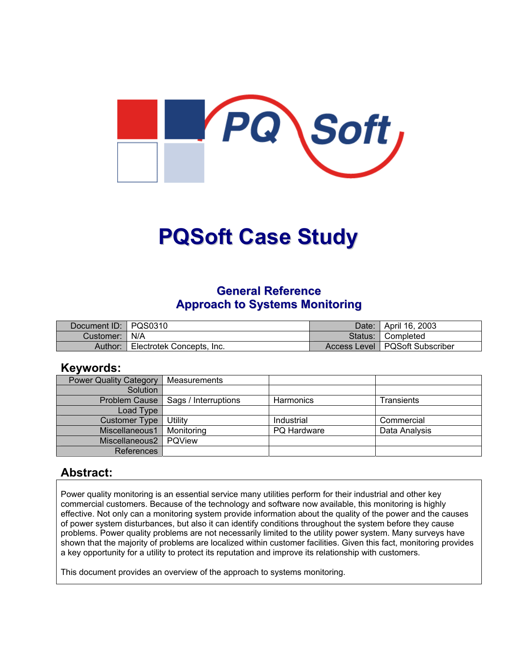

# **PQSoft Case Study**

## **General Reference Approach to Systems Monitoring**

| Document ID: PQS0310 |                           | Date:   April 16, 2003           |
|----------------------|---------------------------|----------------------------------|
| Customer:   N/A      |                           | Status: Completed                |
| Author:              | Electrotek Concepts, Inc. | Access Level   PQSoft Subscriber |

## **Keywords:**

| <b>Power Quality Category</b> | Measurements         |                  |               |
|-------------------------------|----------------------|------------------|---------------|
| Solution                      |                      |                  |               |
| Problem Cause                 | Sags / Interruptions | <b>Harmonics</b> | Transients    |
| Load Type                     |                      |                  |               |
| Customer Type                 | Utility              | Industrial       | Commercial    |
| Miscellaneous1                | Monitoring           | PQ Hardware      | Data Analysis |
| Miscellaneous2                | POView               |                  |               |
| <b>References</b>             |                      |                  |               |

## **Abstract:**

Power quality monitoring is an essential service many utilities perform for their industrial and other key commercial customers. Because of the technology and software now available, this monitoring is highly effective. Not only can a monitoring system provide information about the quality of the power and the causes of power system disturbances, but also it can identify conditions throughout the system before they cause problems. Power quality problems are not necessarily limited to the utility power system. Many surveys have shown that the majority of problems are localized within customer facilities. Given this fact, monitoring provides a key opportunity for a utility to protect its reputation and improve its relationship with customers.

This document provides an overview of the approach to systems monitoring.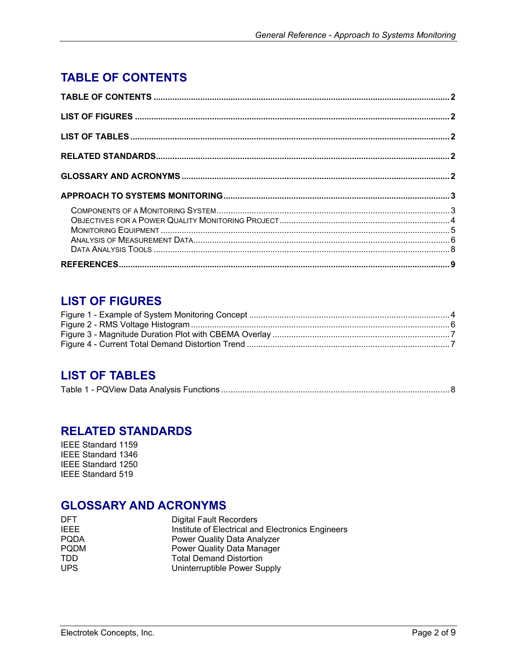# <span id="page-1-0"></span>**TABLE OF CONTENTS**

## **LIST OF FIGURES**

## **LIST OF TABLES**

|--|

## **RELATED STANDARDS**

IEEE Standard 1159 IEEE Standard 1346 IEEE Standard 1250 IEEE Standard 519

## **GLOSSARY AND ACRONYMS**

| <b>DFT</b>  | <b>Digital Fault Recorders</b>                    |  |
|-------------|---------------------------------------------------|--|
| <b>IEEE</b> | Institute of Electrical and Electronics Engineers |  |
| <b>PODA</b> | Power Quality Data Analyzer                       |  |
| <b>PODM</b> | Power Quality Data Manager                        |  |
| TDD.        | <b>Total Demand Distortion</b>                    |  |
| <b>UPS</b>  | Uninterruptible Power Supply                      |  |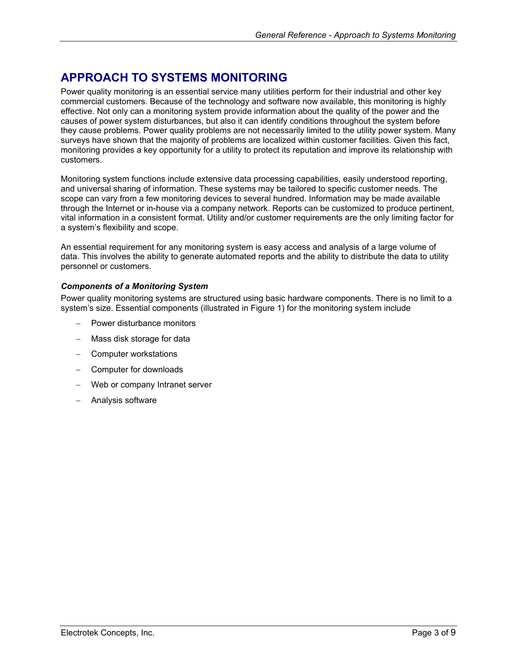# <span id="page-2-0"></span>**APPROACH TO SYSTEMS MONITORING**

Power quality monitoring is an essential service many utilities perform for their industrial and other key commercial customers. Because of the technology and software now available, this monitoring is highly effective. Not only can a monitoring system provide information about the quality of the power and the causes of power system disturbances, but also it can identify conditions throughout the system before they cause problems. Power quality problems are not necessarily limited to the utility power system. Many surveys have shown that the majority of problems are localized within customer facilities. Given this fact, monitoring provides a key opportunity for a utility to protect its reputation and improve its relationship with customers.

Monitoring system functions include extensive data processing capabilities, easily understood reporting, and universal sharing of information. These systems may be tailored to specific customer needs. The scope can vary from a few monitoring devices to several hundred. Information may be made available through the Internet or in-house via a company network. Reports can be customized to produce pertinent, vital information in a consistent format. Utility and/or customer requirements are the only limiting factor for a system's flexibility and scope.

An essential requirement for any monitoring system is easy access and analysis of a large volume of data. This involves the ability to generate automated reports and the ability to distribute the data to utility personnel or customers.

#### *Components of a Monitoring System*

Power quality monitoring systems are structured using basic hardware components. There is no limit to a system's size. Essential components (illustrated in [Figure 1\)](#page-3-1) for the monitoring system include

- − Power disturbance monitors
- Mass disk storage for data
- − Computer workstations
- − Computer for downloads
- Web or company Intranet server
- − Analysis software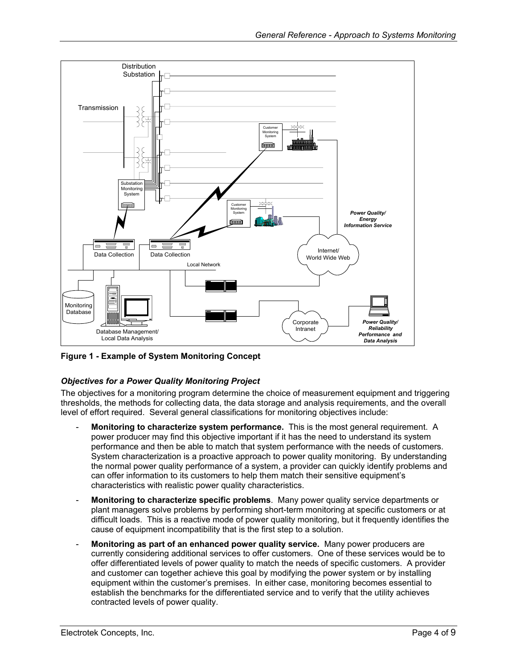<span id="page-3-1"></span><span id="page-3-0"></span>

**Figure 1 - Example of System Monitoring Concept** 

## *Objectives for a Power Quality Monitoring Project*

The objectives for a monitoring program determine the choice of measurement equipment and triggering thresholds, the methods for collecting data, the data storage and analysis requirements, and the overall level of effort required. Several general classifications for monitoring objectives include:

- **Monitoring to characterize system performance.** This is the most general requirement. A power producer may find this objective important if it has the need to understand its system performance and then be able to match that system performance with the needs of customers. System characterization is a proactive approach to power quality monitoring. By understanding the normal power quality performance of a system, a provider can quickly identify problems and can offer information to its customers to help them match their sensitive equipment's characteristics with realistic power quality characteristics.
- **Monitoring to characterize specific problems**. Many power quality service departments or plant managers solve problems by performing short-term monitoring at specific customers or at difficult loads. This is a reactive mode of power quality monitoring, but it frequently identifies the cause of equipment incompatibility that is the first step to a solution.
- **Monitoring as part of an enhanced power quality service.** Many power producers are currently considering additional services to offer customers. One of these services would be to offer differentiated levels of power quality to match the needs of specific customers. A provider and customer can together achieve this goal by modifying the power system or by installing equipment within the customer's premises. In either case, monitoring becomes essential to establish the benchmarks for the differentiated service and to verify that the utility achieves contracted levels of power quality.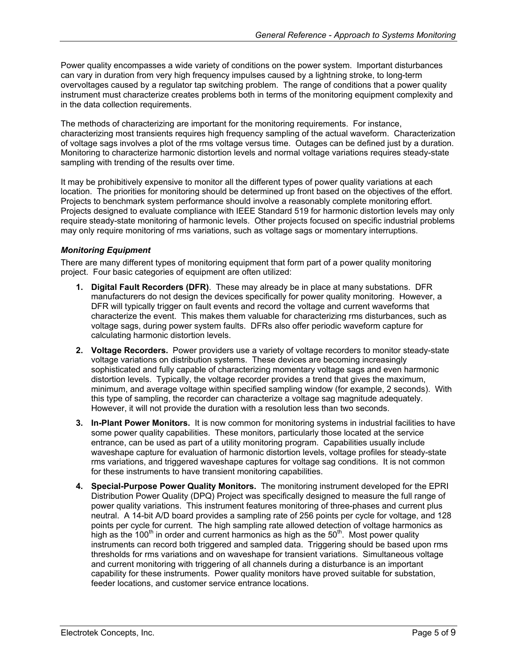<span id="page-4-0"></span>Power quality encompasses a wide variety of conditions on the power system. Important disturbances can vary in duration from very high frequency impulses caused by a lightning stroke, to long-term overvoltages caused by a regulator tap switching problem. The range of conditions that a power quality instrument must characterize creates problems both in terms of the monitoring equipment complexity and in the data collection requirements.

The methods of characterizing are important for the monitoring requirements. For instance, characterizing most transients requires high frequency sampling of the actual waveform. Characterization of voltage sags involves a plot of the rms voltage versus time. Outages can be defined just by a duration. Monitoring to characterize harmonic distortion levels and normal voltage variations requires steady-state sampling with trending of the results over time.

It may be prohibitively expensive to monitor all the different types of power quality variations at each location. The priorities for monitoring should be determined up front based on the objectives of the effort. Projects to benchmark system performance should involve a reasonably complete monitoring effort. Projects designed to evaluate compliance with IEEE Standard 519 for harmonic distortion levels may only require steady-state monitoring of harmonic levels. Other projects focused on specific industrial problems may only require monitoring of rms variations, such as voltage sags or momentary interruptions.

#### *Monitoring Equipment*

There are many different types of monitoring equipment that form part of a power quality monitoring project. Four basic categories of equipment are often utilized:

- **1. Digital Fault Recorders (DFR)**. These may already be in place at many substations. DFR manufacturers do not design the devices specifically for power quality monitoring. However, a DFR will typically trigger on fault events and record the voltage and current waveforms that characterize the event. This makes them valuable for characterizing rms disturbances, such as voltage sags, during power system faults. DFRs also offer periodic waveform capture for calculating harmonic distortion levels.
- **2. Voltage Recorders.** Power providers use a variety of voltage recorders to monitor steady-state voltage variations on distribution systems. These devices are becoming increasingly sophisticated and fully capable of characterizing momentary voltage sags and even harmonic distortion levels. Typically, the voltage recorder provides a trend that gives the maximum, minimum, and average voltage within specified sampling window (for example, 2 seconds). With this type of sampling, the recorder can characterize a voltage sag magnitude adequately. However, it will not provide the duration with a resolution less than two seconds.
- **3. In-Plant Power Monitors.** It is now common for monitoring systems in industrial facilities to have some power quality capabilities. These monitors, particularly those located at the service entrance, can be used as part of a utility monitoring program. Capabilities usually include waveshape capture for evaluation of harmonic distortion levels, voltage profiles for steady-state rms variations, and triggered waveshape captures for voltage sag conditions. It is not common for these instruments to have transient monitoring capabilities.
- **4. Special-Purpose Power Quality Monitors.** The monitoring instrument developed for the EPRI Distribution Power Quality (DPQ) Project was specifically designed to measure the full range of power quality variations. This instrument features monitoring of three-phases and current plus neutral. A 14-bit A/D board provides a sampling rate of 256 points per cycle for voltage, and 128 points per cycle for current. The high sampling rate allowed detection of voltage harmonics as high as the 100<sup>th</sup> in order and current harmonics as high as the  $50<sup>th</sup>$ . Most power quality instruments can record both triggered and sampled data. Triggering should be based upon rms thresholds for rms variations and on waveshape for transient variations. Simultaneous voltage and current monitoring with triggering of all channels during a disturbance is an important capability for these instruments. Power quality monitors have proved suitable for substation, feeder locations, and customer service entrance locations.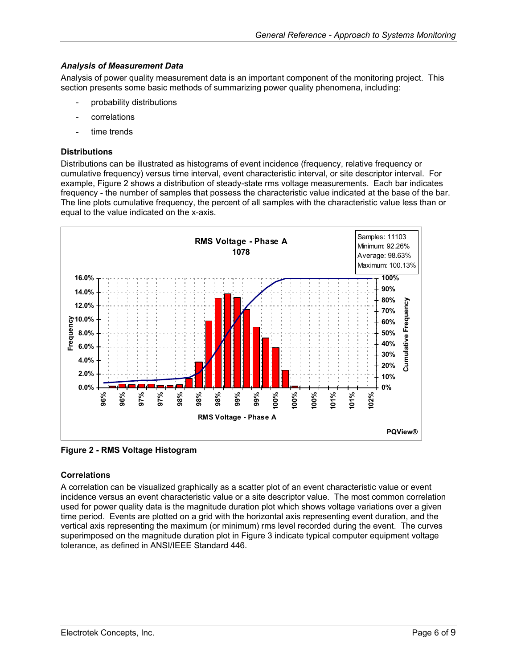#### <span id="page-5-0"></span>*Analysis of Measurement Data*

Analysis of power quality measurement data is an important component of the monitoring project. This section presents some basic methods of summarizing power quality phenomena, including:

- probability distributions
- correlations
- time trends

#### **Distributions**

Distributions can be illustrated as histograms of event incidence (frequency, relative frequency or cumulative frequency) versus time interval, event characteristic interval, or site descriptor interval. For example, [Figure](#page-5-1) 2 shows a distribution of steady-state rms voltage measurements. Each bar indicates frequency - the number of samples that possess the characteristic value indicated at the base of the bar. The line plots cumulative frequency, the percent of all samples with the characteristic value less than or equal to the value indicated on the x-axis.

<span id="page-5-1"></span>

**Figure 2 - RMS Voltage Histogram** 

#### **Correlations**

A correlation can be visualized graphically as a scatter plot of an event characteristic value or event incidence versus an event characteristic value or a site descriptor value. The most common correlation used for power quality data is the magnitude duration plot which shows voltage variations over a given time period. Events are plotted on a grid with the horizontal axis representing event duration, and the vertical axis representing the maximum (or minimum) rms level recorded during the event. The curves superimposed on the magnitude duration plot in [Figure 3](#page-6-1) indicate typical computer equipment voltage tolerance, as defined in ANSI/IEEE Standard 446.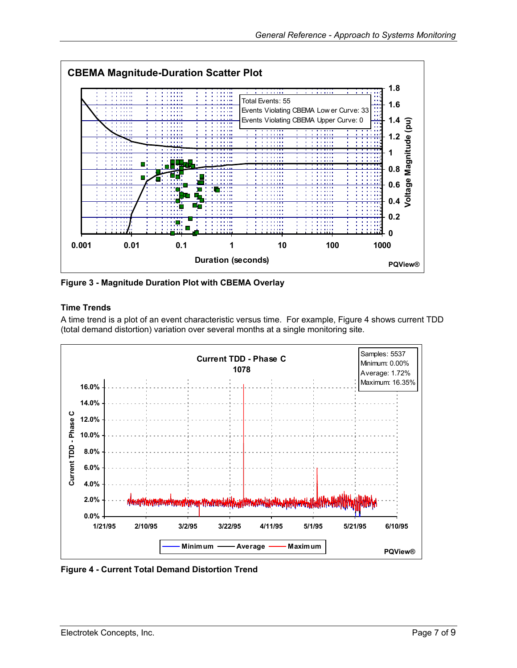<span id="page-6-1"></span><span id="page-6-0"></span>

**Figure 3 - Magnitude Duration Plot with CBEMA Overlay**

#### **Time Trends**

A time trend is a plot of an event characteristic versus time. For example, Figure 4 shows current TDD (total demand distortion) variation over several months at a single monitoring site.

<span id="page-6-2"></span>

**Figure 4 - Current Total Demand Distortion Trend**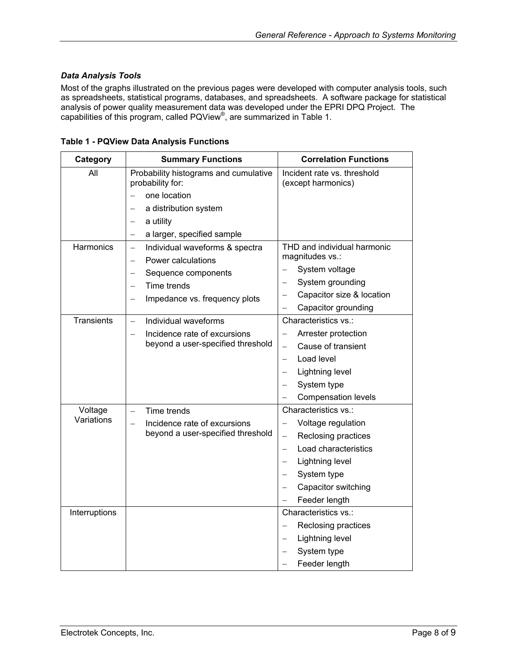#### <span id="page-7-0"></span>*Data Analysis Tools*

Most of the graphs illustrated on the previous pages were developed with computer analysis tools, such as spreadsheets, statistical programs, databases, and spreadsheets. A software package for statistical analysis of power quality measurement data was developed under the EPRI DPQ Project. The capabilities of this program, called PQView®, are summarized in [Table](#page-7-1) 1.

| Category          | <b>Summary Functions</b>                                   | <b>Correlation Functions</b>                      |
|-------------------|------------------------------------------------------------|---------------------------------------------------|
| All               | Probability histograms and cumulative<br>probability for:  | Incident rate vs. threshold<br>(except harmonics) |
|                   | one location                                               |                                                   |
|                   | a distribution system<br>$\overline{\phantom{0}}$          |                                                   |
|                   | a utility                                                  |                                                   |
|                   | a larger, specified sample                                 |                                                   |
| Harmonics         | Individual waveforms & spectra<br>$\overline{\phantom{0}}$ | THD and individual harmonic                       |
|                   | Power calculations                                         | magnitudes vs.:                                   |
|                   | Sequence components                                        | System voltage                                    |
|                   | Time trends<br>$\overline{\phantom{0}}$                    | System grounding<br>$\qquad \qquad -$             |
|                   | Impedance vs. frequency plots                              | Capacitor size & location                         |
|                   |                                                            | Capacitor grounding                               |
| <b>Transients</b> | Individual waveforms<br>$-$                                | Characteristics vs.:                              |
|                   | Incidence rate of excursions                               | Arrester protection                               |
|                   | beyond a user-specified threshold                          | Cause of transient<br>$\qquad \qquad -$           |
|                   |                                                            | Load level<br>$\overline{\phantom{0}}$            |
|                   |                                                            | Lightning level<br>$\qquad \qquad -$              |
|                   |                                                            | System type                                       |
|                   |                                                            | <b>Compensation levels</b>                        |
| Voltage           | Time trends<br>-                                           | Characteristics vs.:                              |
| Variations        | Incidence rate of excursions                               | Voltage regulation                                |
|                   | beyond a user-specified threshold                          | Reclosing practices<br>$\overline{\phantom{0}}$   |
|                   |                                                            | Load characteristics<br>$\overline{\phantom{0}}$  |
|                   |                                                            | Lightning level<br>$\equiv$                       |
|                   |                                                            | System type<br>$\qquad \qquad -$                  |
|                   |                                                            | Capacitor switching<br>$\overline{\phantom{0}}$   |
|                   |                                                            | Feeder length                                     |
| Interruptions     |                                                            | Characteristics vs.:                              |
|                   |                                                            | Reclosing practices                               |
|                   |                                                            | Lightning level<br>$\qquad \qquad -$              |
|                   |                                                            | System type                                       |
|                   |                                                            | Feeder length                                     |

<span id="page-7-1"></span>**Table 1 - PQView Data Analysis Functions**